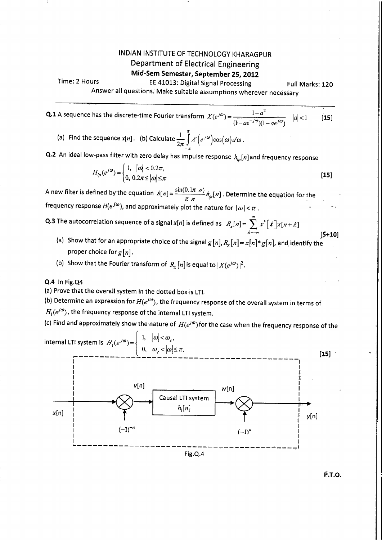## INDIAN INSTITUTE OF TECHNOLOGY KHARAGPUR Department of Electrical Engineering

## **Mid-Sem Semester, September 25, 2012**

Time: 2 Hours EE 41013: Digital Signal Processing Full Marks: 120

Answer all questions. Make suitable assumptions wherever necessary

**Q.1** A sequence has the discrete-time Fourier transform  $X(e^{j\omega}) = \frac{1-a^2}{\omega}$   $|a| < 1$  [**15**]  $(1 - ae^{-j\omega})(1 - ae^{j\omega})$ 

(a) Find the sequence  $x[n]$ . (b) Calculate  $\frac{1}{2\pi}\int_{0}^{\pi} \mathcal{X}\left(e^{j\omega}\right) \cos(\omega) d\omega$ .

**Q.2** An ideal low-pass filter with zero delay has impulse response  $h_{lp}[n]$  and frequency response

$$
H_{lp}(e^{j\omega}) = \begin{cases} 1, & |\omega| < 0.2\pi, \\ 0, & 0.2\pi \le |\omega| \le \pi \end{cases}
$$
 [15]

A new filter is defined by the equation  $h[n] = \frac{\sin(0.1\pi/n)}{\pi n} h_p[n]$  . Determine the equation for the frequency response  $H(e^{j\omega})$ , and approximately plot the nature for  $|\omega| < \pi$ .

**Q.3** The autocorrelation sequence of a signal x[n] is defined as  $R_x[n] = \sum_{i=1}^{\infty} x^* \lceil k \rceil x[n+k]$  $k=-\infty$  [S+10]

(a) Show that for an appropriate choice of the signal  $g[n], R$ ,  $[n] = x[n]^*g[n]$ , and identify the proper choice for  $g[n]$ .

(b) Show that the Fourier transform of  $R$  [n] is equal to  $|X(e^{j\omega})|^2.$ 

**Q.4** In Fig.Q4

(a) Prove that the overall system in the dotted box is LTI.

(b) Determine an expression for  $H(e^{j\omega})$ , the frequency response of the overall system in terms of  $H_1(e^{j\omega})$ , the frequency response of the internal LTI system.

(c) Find and approximately show the nature of  $H(e^{j\omega})$  for the case when the frequency response of the